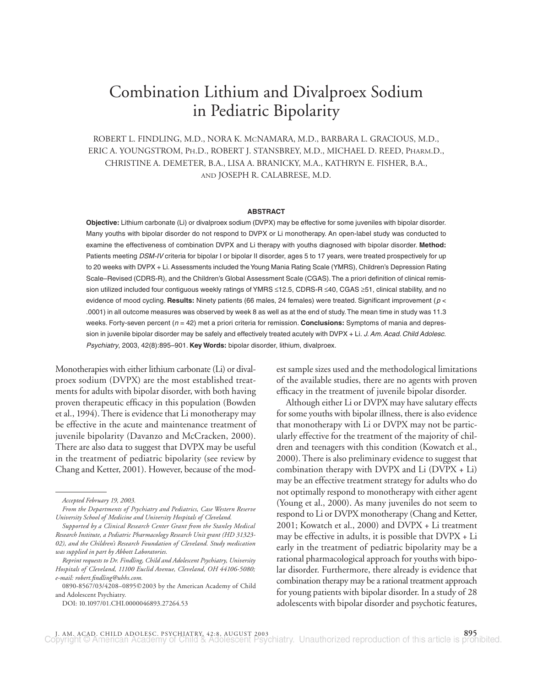# Combination Lithium and Divalproex Sodium in Pediatric Bipolarity

ROBERT L. FINDLING, M.D., NORA K. MCNAMARA, M.D., BARBARA L. GRACIOUS, M.D., ERIC A. YOUNGSTROM, PH.D., ROBERT J. STANSBREY, M.D., MICHAEL D. REED, PHARM.D., CHRISTINE A. DEMETER, B.A., LISA A. BRANICKY, M.A., KATHRYN E. FISHER, B.A., AND JOSEPH R. CALABRESE, M.D.

# **ABSTRACT**

**Objective:** Lithium carbonate (Li) or divalproex sodium (DVPX) may be effective for some juveniles with bipolar disorder. Many youths with bipolar disorder do not respond to DVPX or Li monotherapy. An open-label study was conducted to examine the effectiveness of combination DVPX and Li therapy with youths diagnosed with bipolar disorder. **Method:** Patients meeting DSM-IV criteria for bipolar I or bipolar II disorder, ages 5 to 17 years, were treated prospectively for up to 20 weeks with DVPX + Li. Assessments included the Young Mania Rating Scale (YMRS), Children's Depression Rating Scale–Revised (CDRS-R), and the Children's Global Assessment Scale (CGAS).The a priori definition of clinical remission utilized included four contiguous weekly ratings of YMRS ≤12.5, CDRS-R ≤40, CGAS ≥51, clinical stability, and no evidence of mood cycling. **Results:** Ninety patients (66 males, 24 females) were treated. Significant improvement (*p* < .0001) in all outcome measures was observed by week 8 as well as at the end of study.The mean time in study was 11.3 weeks. Forty-seven percent ( $n = 42$ ) met a priori criteria for remission. **Conclusions:** Symptoms of mania and depression in juvenile bipolar disorder may be safely and effectively treated acutely with DVPX + Li. *J. Am. Acad. Child Adolesc. Psychiatry*, 2003, 42(8):895–901. **Key Words:** bipolar disorder, lithium, divalproex.

Monotherapies with either lithium carbonate (Li) or divalproex sodium (DVPX) are the most established treatments for adults with bipolar disorder, with both having proven therapeutic efficacy in this population (Bowden et al., 1994). There is evidence that Li monotherapy may be effective in the acute and maintenance treatment of juvenile bipolarity (Davanzo and McCracken, 2000). There are also data to suggest that DVPX may be useful in the treatment of pediatric bipolarity (see review by Chang and Ketter, 2001). However, because of the mod-

DOI: 10.1097/01.CHI.0000046893.27264.53

est sample sizes used and the methodological limitations of the available studies, there are no agents with proven efficacy in the treatment of juvenile bipolar disorder.

Although either Li or DVPX may have salutary effects for some youths with bipolar illness, there is also evidence that monotherapy with Li or DVPX may not be particularly effective for the treatment of the majority of children and teenagers with this condition (Kowatch et al., 2000). There is also preliminary evidence to suggest that combination therapy with DVPX and Li (DVPX + Li) may be an effective treatment strategy for adults who do not optimally respond to monotherapy with either agent (Young et al., 2000). As many juveniles do not seem to respond to Li or DVPX monotherapy (Chang and Ketter, 2001; Kowatch et al., 2000) and DVPX + Li treatment may be effective in adults, it is possible that DVPX + Li early in the treatment of pediatric bipolarity may be a rational pharmacological approach for youths with bipolar disorder. Furthermore, there already is evidence that combination therapy may be a rational treatment approach for young patients with bipolar disorder. In a study of 28 adolescents with bipolar disorder and psychotic features,

*Accepted February 19, 2003.*

*From the Departments of Psychiatry and Pediatrics, Case Western Reserve University School of Medicine and University Hospitals of Cleveland.*

*Supported by a Clinical Research Center Grant from the Stanley Medical Research Institute, a Pediatric Pharmacology Research Unit grant (HD 31323- 02), and the Children's Research Foundation of Cleveland. Study medication was supplied in part by Abbott Laboratories.*

*Reprint requests to Dr. Findling, Child and Adolescent Psychiatry, University Hospitals of Cleveland, 11100 Euclid Avenue, Cleveland, OH 44106-5080; e-mail: robert.findling@uhhs.com.*

<sup>0890-8567/03/4208–0895</sup>2003 by the American Academy of Child and Adolescent Psychiatry.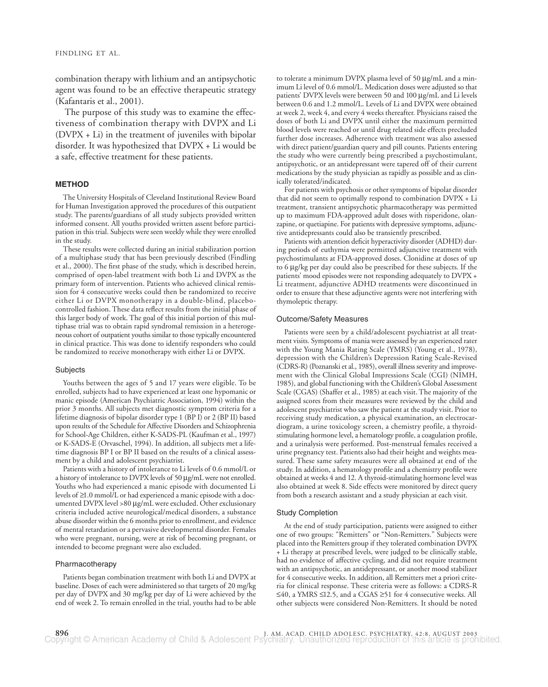combination therapy with lithium and an antipsychotic agent was found to be an effective therapeutic strategy (Kafantaris et al., 2001).

The purpose of this study was to examine the effectiveness of combination therapy with DVPX and Li (DVPX + Li) in the treatment of juveniles with bipolar disorder. It was hypothesized that DVPX + Li would be a safe, effective treatment for these patients.

## **METHOD**

The University Hospitals of Cleveland Institutional Review Board for Human Investigation approved the procedures of this outpatient study. The parents/guardians of all study subjects provided written informed consent. All youths provided written assent before participation in this trial. Subjects were seen weekly while they were enrolled in the study.

These results were collected during an initial stabilization portion of a multiphase study that has been previously described (Findling et al., 2000). The first phase of the study, which is described herein, comprised of open-label treatment with both Li and DVPX as the primary form of intervention. Patients who achieved clinical remission for 4 consecutive weeks could then be randomized to receive either Li or DVPX monotherapy in a double-blind, placebocontrolled fashion. These data reflect results from the initial phase of this larger body of work. The goal of this initial portion of this multiphase trial was to obtain rapid syndromal remission in a heterogeneous cohort of outpatient youths similar to those typically encountered in clinical practice. This was done to identify responders who could be randomized to receive monotherapy with either Li or DVPX.

## Subjects

Youths between the ages of 5 and 17 years were eligible. To be enrolled, subjects had to have experienced at least one hypomanic or manic episode (American Psychiatric Association, 1994) within the prior 3 months. All subjects met diagnostic symptom criteria for a lifetime diagnosis of bipolar disorder type 1 (BP I) or 2 (BP II) based upon results of the Schedule for Affective Disorders and Schizophrenia for School-Age Children, either K-SADS-PL (Kaufman et al., 1997) or K-SADS-E (Orvaschel, 1994). In addition, all subjects met a lifetime diagnosis BP I or BP II based on the results of a clinical assessment by a child and adolescent psychiatrist.

Patients with a history of intolerance to Li levels of 0.6 mmol/L or a history of intolerance to DVPX levels of 50 µg/mL were not enrolled. Youths who had experienced a manic episode with documented Li levels of ≥1.0 mmol/L or had experienced a manic episode with a documented DVPX level >80 µg/mL were excluded. Other exclusionary criteria included active neurological/medical disorders, a substance abuse disorder within the 6 months prior to enrollment, and evidence of mental retardation or a pervasive developmental disorder. Females who were pregnant, nursing, were at risk of becoming pregnant, or intended to become pregnant were also excluded.

## Pharmacotherapy

Patients began combination treatment with both Li and DVPX at baseline. Doses of each were administered so that targets of 20 mg/kg per day of DVPX and 30 mg/kg per day of Li were achieved by the end of week 2. To remain enrolled in the trial, youths had to be able to tolerate a minimum DVPX plasma level of 50 µg/mL and a minimum Li level of 0.6 mmol/L. Medication doses were adjusted so that patients' DVPX levels were between 50 and 100 µg/mL and Li levels between 0.6 and 1.2 mmol/L. Levels of Li and DVPX were obtained at week 2, week 4, and every 4 weeks thereafter. Physicians raised the doses of both Li and DVPX until either the maximum permitted blood levels were reached or until drug related side effects precluded further dose increases. Adherence with treatment was also assessed with direct patient/guardian query and pill counts. Patients entering the study who were currently being prescribed a psychostimulant, antipsychotic, or an antidepressant were tapered off of their current medications by the study physician as rapidly as possible and as clinically tolerated/indicated.

For patients with psychosis or other symptoms of bipolar disorder that did not seem to optimally respond to combination DVPX + Li treatment, transient antipsychotic pharmacotherapy was permitted up to maximum FDA-approved adult doses with risperidone, olanzapine, or quetiapine. For patients with depressive symptoms, adjunctive antidepressants could also be transiently prescribed.

Patients with attention deficit hyperactivity disorder (ADHD) during periods of euthymia were permitted adjunctive treatment with psychostimulants at FDA-approved doses. Clonidine at doses of up to 6 µg/kg per day could also be prescribed for these subjects. If the patients' mood episodes were not responding adequately to DVPX + Li treatment, adjunctive ADHD treatments were discontinued in order to ensure that these adjunctive agents were not interfering with thymoleptic therapy.

## Outcome/Safety Measures

Patients were seen by a child/adolescent psychiatrist at all treatment visits. Symptoms of mania were assessed by an experienced rater with the Young Mania Rating Scale (YMRS) (Young et al., 1978), depression with the Children's Depression Rating Scale-Revised (CDRS-R) (Poznanski et al., 1985), overall illness severity and improvement with the Clinical Global Impressions Scale (CGI) (NIMH, 1985), and global functioning with the Children's Global Assessment Scale (CGAS) (Shaffer et al., 1985) at each visit. The majority of the assigned scores from their measures were reviewed by the child and adolescent psychiatrist who saw the patient at the study visit. Prior to receiving study medication, a physical examination, an electrocardiogram, a urine toxicology screen, a chemistry profile, a thyroidstimulating hormone level, a hematology profile, a coagulation profile, and a urinalysis were performed. Post-menstrual females received a urine pregnancy test. Patients also had their height and weights measured. These same safety measures were all obtained at end of the study. In addition, a hematology profile and a chemistry profile were obtained at weeks 4 and 12. A thyroid-stimulating hormone level was also obtained at week 8. Side effects were monitored by direct query from both a research assistant and a study physician at each visit.

# Study Completion

At the end of study participation, patients were assigned to either one of two groups: "Remitters" or "Non-Remitters." Subjects were placed into the Remitters group if they tolerated combination DVPX + Li therapy at prescribed levels, were judged to be clinically stable, had no evidence of affective cycling, and did not require treatment with an antipsychotic, an antidepressant, or another mood stabilizer for 4 consecutive weeks. In addition, all Remitters met a priori criteria for clinical response. These criteria were as follows: a CDRS-R ≤40, a YMRS ≤12.5, and a CGAS ≥51 for 4 consecutive weeks. All other subjects were considered Non-Remitters. It should be noted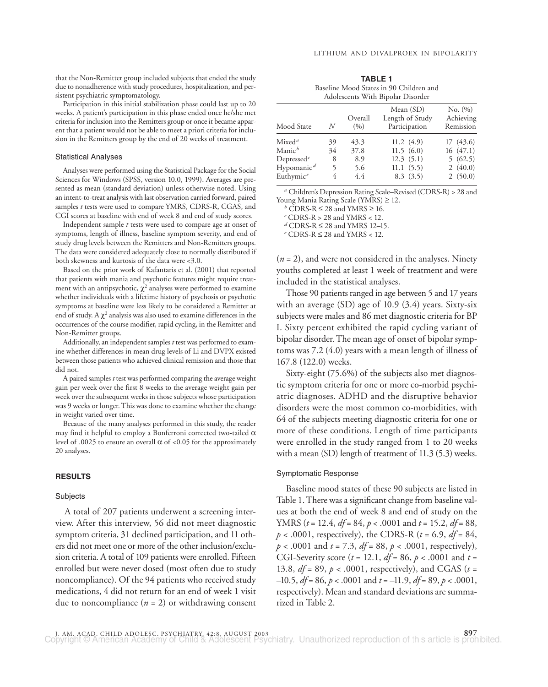that the Non-Remitter group included subjects that ended the study due to nonadherence with study procedures, hospitalization, and persistent psychiatric symptomatology.

Participation in this initial stabilization phase could last up to 20 weeks. A patient's participation in this phase ended once he/she met criteria for inclusion into the Remitters group or once it became apparent that a patient would not be able to meet a priori criteria for inclusion in the Remitters group by the end of 20 weeks of treatment.

## Statistical Analyses

Analyses were performed using the Statistical Package for the Social Sciences for Windows (SPSS, version 10.0, 1999). Averages are presented as mean (standard deviation) unless otherwise noted. Using an intent-to-treat analysis with last observation carried forward, paired samples *t* tests were used to compare YMRS, CDRS-R, CGAS, and CGI scores at baseline with end of week 8 and end of study scores.

Independent sample *t* tests were used to compare age at onset of symptoms, length of illness, baseline symptom severity, and end of study drug levels between the Remitters and Non-Remitters groups. The data were considered adequately close to normally distributed if both skewness and kurtosis of the data were <3.0.

Based on the prior work of Kafantaris et al. (2001) that reported that patients with mania and psychotic features might require treatment with an antipsychotic,  $\chi^2$  analyses were performed to examine whether individuals with a lifetime history of psychosis or psychotic symptoms at baseline were less likely to be considered a Remitter at end of study. A  $\chi^2$  analysis was also used to examine differences in the occurrences of the course modifier, rapid cycling, in the Remitter and Non-Remitter groups.

Additionally, an independent samples *t* test was performed to examine whether differences in mean drug levels of Li and DVPX existed between those patients who achieved clinical remission and those that did not.

A paired samples *t* test was performed comparing the average weight gain per week over the first 8 weeks to the average weight gain per week over the subsequent weeks in those subjects whose participation was 9 weeks or longer. This was done to examine whether the change in weight varied over time.

Because of the many analyses performed in this study, the reader may find it helpful to employ a Bonferroni corrected two-tailed  $\alpha$ level of .0025 to ensure an overall  $\alpha$  of <0.05 for the approximately 20 analyses.

# **RESULTS**

#### **Subjects**

A total of 207 patients underwent a screening interview. After this interview, 56 did not meet diagnostic symptom criteria, 31 declined participation, and 11 others did not meet one or more of the other inclusion/exclusion criteria. A total of 109 patients were enrolled. Fifteen enrolled but were never dosed (most often due to study noncompliance). Of the 94 patients who received study medications, 4 did not return for an end of week 1 visit due to noncompliance  $(n = 2)$  or withdrawing consent

**TABLE 1** Baseline Mood States in 90 Children and Adolescents With Bipolar Disorder

| Mood State                          | N  | Overall<br>(9/0) | Mean (SD)<br>Length of Study<br>Participation | No. (%)<br>Achieving<br>Remission |
|-------------------------------------|----|------------------|-----------------------------------------------|-----------------------------------|
| Mixed <sup>a</sup>                  | 39 | 43.3             | 11.2(4.9)                                     | 17(43.6)                          |
| $\mathrm{Manic}^b$                  | 34 | 37.8             | 11.5(6.0)                                     | 16(47.1)                          |
| Depressed <sup>c</sup>              | 8  | 8.9              | 12.3(5.1)                                     | 5(62.5)                           |
| Hypomanic <sup><math>d</math></sup> | 5  | 5.6              | 11.1(5.5)                                     | 2(40.0)                           |
| Euthymic <sup><math>e</math></sup>  | 4  | 4.4              | 8.3(3.5)                                      | 2(50.0)                           |

*<sup>a</sup>* Children's Depression Rating Scale–Revised (CDRS-R) > 28 and Young Mania Rating Scale (YMRS) <sup>≥</sup> 12. *<sup>b</sup>* CDRS-R <sup>≤</sup> 28 and YMRS <sup>≥</sup> 16. *<sup>c</sup>* CDRS-R > 28 and YMRS < 12.

*<sup>d</sup>* CDRS-R <sup>≤</sup> 28 and YMRS 12–15. *<sup>e</sup>* CDRS-R <sup>≤</sup> 28 and YMRS < 12.

(*n* = 2), and were not considered in the analyses. Ninety youths completed at least 1 week of treatment and were included in the statistical analyses.

Those 90 patients ranged in age between 5 and 17 years with an average (SD) age of 10.9 (3.4) years. Sixty-six subjects were males and 86 met diagnostic criteria for BP I. Sixty percent exhibited the rapid cycling variant of bipolar disorder. The mean age of onset of bipolar symptoms was 7.2 (4.0) years with a mean length of illness of 167.8 (122.0) weeks.

Sixty-eight (75.6%) of the subjects also met diagnostic symptom criteria for one or more co-morbid psychiatric diagnoses. ADHD and the disruptive behavior disorders were the most common co-morbidities, with 64 of the subjects meeting diagnostic criteria for one or more of these conditions. Length of time participants were enrolled in the study ranged from 1 to 20 weeks with a mean (SD) length of treatment of 11.3 (5.3) weeks.

## Symptomatic Response

Baseline mood states of these 90 subjects are listed in Table 1. There was a significant change from baseline values at both the end of week 8 and end of study on the YMRS (*t* = 12.4, *df* = 84, *p* < .0001 and *t* = 15.2, *df* = 88, *p* < .0001, respectively), the CDRS-R (*t* = 6.9, *df* = 84, *p* < .0001 and *t* = 7.3, *df* = 88, *p* < .0001, respectively), CGI-Severity score (*t* = 12.1, *df* = 86, *p* < .0001 and *t* = 13.8, *df* = 89, *p* < .0001, respectively), and CGAS (*t* = –10.5, *df* = 86, *p* < .0001 and *t* = –11.9, *df* = 89, *p* < .0001, respectively). Mean and standard deviations are summarized in Table 2.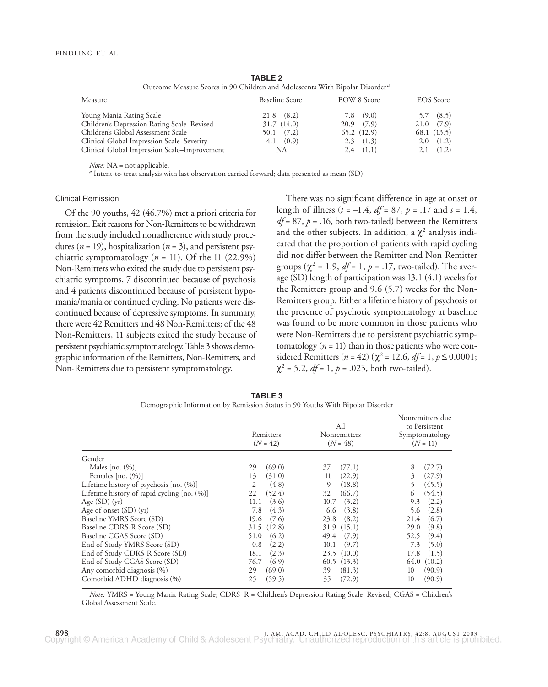| Outcome Measure Scores in 90 Children and Adolescents With Bipolar Disorder" |                       |                |                  |
|------------------------------------------------------------------------------|-----------------------|----------------|------------------|
| Measure                                                                      | <b>Baseline Score</b> | EOW 8 Score    | <b>EOS</b> Score |
| Young Mania Rating Scale                                                     | $21.8$ $(8.2)$        | $7.8$ $(9.0)$  | $5.7$ $(8.5)$    |
| Children's Depression Rating Scale–Revised                                   | 31.7(14.0)            | $20.9$ $(7.9)$ | 21.0(7.9)        |
| Children's Global Assessment Scale                                           | $50.1$ $(7.2)$        | 65.2(12.9)     | 68.1 (13.5)      |
| Clinical Global Impression Scale-Severity                                    | 4.1 (0.9)             | $2.3$ $(1.3)$  | 2.0(1.2)         |
| Clinical Global Impression Scale–Improvement                                 | NA                    | $2.4$ $(1.1)$  | $2.1$ $(1.2)$    |

**TABLE 2** Outcome Measure Scores in 90 Children and Adolescents With Bipolar Disorder *<sup>a</sup>*

*Note:* NA = not applicable.<br><sup>*a*</sup> Intent-to-treat analysis with last observation carried forward; data presented as mean (SD).

## Clinical Remission

Of the 90 youths, 42 (46.7%) met a priori criteria for remission. Exit reasons for Non-Remitters to be withdrawn from the study included nonadherence with study procedures ( $n = 19$ ), hospitalization ( $n = 3$ ), and persistent psychiatric symptomatology  $(n = 11)$ . Of the 11 (22.9%) Non-Remitters who exited the study due to persistent psychiatric symptoms, 7 discontinued because of psychosis and 4 patients discontinued because of persistent hypomania/mania or continued cycling. No patients were discontinued because of depressive symptoms. In summary, there were 42 Remitters and 48 Non-Remitters; of the 48 Non-Remitters, 11 subjects exited the study because of persistent psychiatric symptomatology. Table 3 shows demographic information of the Remitters, Non-Remitters, and Non-Remitters due to persistent symptomatology.

There was no significant difference in age at onset or length of illness (*t* = –1.4, *df* = 87, *p* = .17 and *t* = 1.4,  $df = 87$ ,  $p = .16$ , both two-tailed) between the Remitters and the other subjects. In addition, a  $\chi^2$  analysis indicated that the proportion of patients with rapid cycling did not differ between the Remitter and Non-Remitter groups  $(\chi^2 = 1.9, df = 1, p = .17, two-tailed)$ . The average (SD) length of participation was 13.1 (4.1) weeks for the Remitters group and 9.6 (5.7) weeks for the Non-Remitters group. Either a lifetime history of psychosis or the presence of psychotic symptomatology at baseline was found to be more common in those patients who were Non-Remitters due to persistent psychiatric symptomatology ( $n = 11$ ) than in those patients who were considered Remitters (*n* = 42) ( $\chi^2$  = 12.6, *df* = 1, *p* ≤ 0.0001;  $\chi^2$  = 5.2, *df* = 1, *p* = .023, both two-tailed).

|                                               |               | All            | Nonremitters due<br>to Persistent |  |
|-----------------------------------------------|---------------|----------------|-----------------------------------|--|
|                                               | Remitters     | Nonremitters   | Symptomatology                    |  |
|                                               | $(N = 42)$    | $(N = 48)$     | $(N = 11)$                        |  |
| Gender                                        |               |                |                                   |  |
| Males $[no. (%)]$                             | (69.0)        | (77.1)         | (72.7)                            |  |
|                                               | 29            | 37             | 8                                 |  |
| Females $[no. (%)]$                           | (31.0)        | (22.9)         | 3                                 |  |
|                                               | 13            | 11             | (27.9)                            |  |
| Lifetime history of psychosis [no. (%)]       | 2             | 9              | (45.5)                            |  |
|                                               | (4.8)         | (18.8)         | 5                                 |  |
| Lifetime history of rapid cycling $[no. (%)]$ | (52.4)        | (66.7)         | (54.5)                            |  |
|                                               | 22            | 32             | 6                                 |  |
| Age $(SD)(yr)$                                | (3.6)         | (3.2)          | (2.2)                             |  |
|                                               | 11.1          | 10.7           | 9.3                               |  |
| Age of onset $(SD)$ (yr)                      | (4.3)         | (3.8)          | (2.8)                             |  |
|                                               | 7.8           | 6.6            | 5.6                               |  |
| Baseline YMRS Score (SD)                      | 19.6          | (8.2)          | (6.7)                             |  |
|                                               | (7.6)         | 23.8           | 21.4                              |  |
| Baseline CDRS-R Score (SD)                    | 31.5 (12.8)   | (15.1)<br>31.9 | (9.8)<br>29.0                     |  |
| Baseline CGAS Score (SD)                      | (6.2)         | 49.4           | (9.4)                             |  |
|                                               | 51.0          | (7.9)          | 52.5                              |  |
| End of Study YMRS Score (SD)                  | (2.2)         | 10.1           | (5.0)                             |  |
|                                               | 0.8           | (9.7)          | 7.3                               |  |
| End of Study CDRS-R Score (SD)                | (2.3)<br>18.1 | 23.5(10.0)     | 17.8<br>(1.5)                     |  |
| End of Study CGAS Score (SD)                  | 76.7<br>(6.9) | 60.5(13.3)     | 64.0<br>(10.2)                    |  |
| Any comorbid diagnosis (%)                    | (69.0)        | (81.3)         | (90.9)                            |  |
|                                               | 29            | 39             | 10                                |  |
| Comorbid ADHD diagnosis (%)                   | (59.5)        | 35             | (90.9)                            |  |
|                                               | 25            | (72.9)         | 10                                |  |

**TABLE 3** Demographic Information by Remission Status in 90 Youths With Bipolar Disorder

*Note:* YMRS = Young Mania Rating Scale; CDRS–R = Children's Depression Rating Scale–Revised; CGAS = Children's Global Assessment Scale.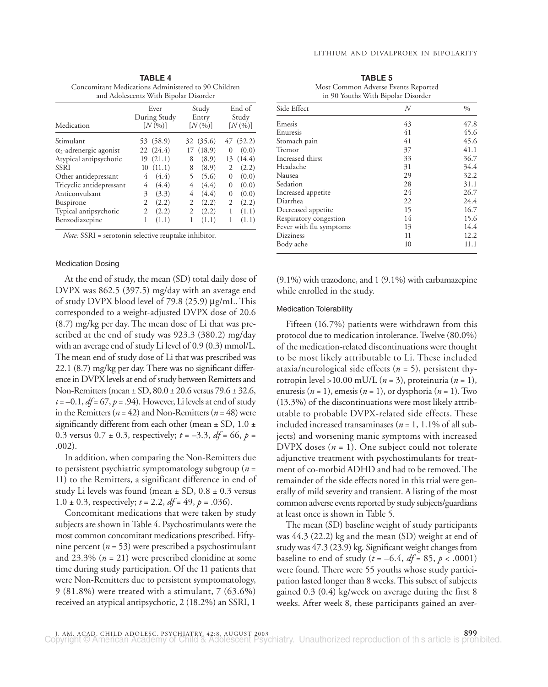|           | Concomitant Medications Administered to 90 Children<br>and Adolescents With Bipolar Disorder |                      |            |
|-----------|----------------------------------------------------------------------------------------------|----------------------|------------|
|           | Ever                                                                                         | Study                | End of     |
|           | During Study                                                                                 | Entry                | Study      |
| edication | [N(0 <sub>0</sub> )]                                                                         | [N(0 <sub>0</sub> )] | $[N(0_0)]$ |

**TABLE 4**

| Medication                     | During Study<br>[N(%)] | Entry<br>[N(%)] | Study<br>[N(%)]   |
|--------------------------------|------------------------|-----------------|-------------------|
| Stimulant                      | 53 (58.9)              | 32 (35.6)       | 47 (52.2)         |
| $\alpha_2$ -adrenergic agonist | 22 (24.4)              | 17(18.9)        | (0.0)<br>$\Omega$ |
| Atypical antipsychotic         | 19(21.1)               | (8.9)<br>8      | (14.4)<br>13      |
| <b>SSRI</b>                    | 10(11.1)               | (8.9)<br>8      | (2.2)             |
| Other antidepressant           | (4.4)<br>4             | (5.6)           | (0.0)<br>$\Omega$ |
| Tricyclic antidepressant       | (4.4)<br>4             | (4.4)<br>4      | (0.0)<br>$\Omega$ |
| Anticonvulsant                 | (3.3)<br>3             | (4.4)<br>4      | (0.0)<br>$\theta$ |
| <b>Buspirone</b>               | (2.2)<br>2             | (2.2)<br>2      | 2<br>(2.2)        |
| Typical antipsychotic          | (2.2)                  | (2.2)           | (1.1)             |
| Benzodiazepine                 | (1.1)                  | (1.1)           | (1.1)             |

*Note:* SSRI = serotonin selective reuptake inhibitor.

## Medication Dosing

At the end of study, the mean (SD) total daily dose of DVPX was 862.5 (397.5) mg/day with an average end of study DVPX blood level of 79.8 (25.9) µg/mL. This corresponded to a weight-adjusted DVPX dose of 20.6 (8.7) mg/kg per day. The mean dose of Li that was prescribed at the end of study was 923.3 (380.2) mg/day with an average end of study Li level of 0.9 (0.3) mmol/L. The mean end of study dose of Li that was prescribed was 22.1 (8.7) mg/kg per day. There was no significant difference in DVPX levels at end of study between Remitters and Non-Remitters (mean ± SD, 80.0 ± 20.6 versus 79.6 ± 32.6,  $t = -0.1$ ,  $df = 67$ ,  $p = .94$ ). However, Li levels at end of study in the Remitters ( $n = 42$ ) and Non-Remitters ( $n = 48$ ) were significantly different from each other (mean  $\pm$  SD, 1.0  $\pm$ 0.3 versus  $0.7 \pm 0.3$ , respectively;  $t = -3.3$ ,  $df = 66$ ,  $p =$ .002).

In addition, when comparing the Non-Remitters due to persistent psychiatric symptomatology subgroup (*n* = 11) to the Remitters, a significant difference in end of study Li levels was found (mean  $\pm$  SD, 0.8  $\pm$  0.3 versus 1.0  $\pm$  0.3, respectively;  $t = 2.2$ ,  $df = 49$ ,  $p = .036$ ).

Concomitant medications that were taken by study subjects are shown in Table 4. Psychostimulants were the most common concomitant medications prescribed. Fiftynine percent (*n* = 53) were prescribed a psychostimulant and 23.3% (*n* = 21) were prescribed clonidine at some time during study participation. Of the 11 patients that were Non-Remitters due to persistent symptomatology, 9 (81.8%) were treated with a stimulant, 7 (63.6%) received an atypical antipsychotic, 2 (18.2%) an SSRI, 1

| <b>TABLE 5</b>                      |  |  |
|-------------------------------------|--|--|
| Most Common Adverse Events Reported |  |  |
| in 90 Youths With Bipolar Disorder  |  |  |

| Side Effect             | N  | $\%$ |
|-------------------------|----|------|
| Emesis                  | 43 | 47.8 |
| Enuresis                | 41 | 45.6 |
| Stomach pain            | 41 | 45.6 |
| Tremor                  | 37 | 41.1 |
| Increased thirst        | 33 | 36.7 |
| Headache                | 31 | 34.4 |
| Nausea                  | 29 | 32.2 |
| Sedation                | 28 | 31.1 |
| Increased appetite      | 24 | 26.7 |
| Diarrhea                | 22 | 24.4 |
| Decreased appetite      | 15 | 16.7 |
| Respiratory congestion  | 14 | 15.6 |
| Fever with flu symptoms | 13 | 14.4 |
| Dizziness               | 11 | 12.2 |
| Body ache               | 10 | 11.1 |

(9.1%) with trazodone, and 1 (9.1%) with carbamazepine while enrolled in the study.

# Medication Tolerability

Fifteen (16.7%) patients were withdrawn from this protocol due to medication intolerance. Twelve (80.0%) of the medication-related discontinuations were thought to be most likely attributable to Li. These included ataxia/neurological side effects (*n* = 5), persistent thyrotropin level >10.00 mU/L (*n* = 3), proteinuria (*n* = 1), enuresis  $(n = 1)$ , emesis  $(n = 1)$ , or dysphoria  $(n = 1)$ . Two (13.3%) of the discontinuations were most likely attributable to probable DVPX-related side effects. These included increased transaminases ( $n = 1, 1.1\%$  of all subjects) and worsening manic symptoms with increased DVPX doses  $(n = 1)$ . One subject could not tolerate adjunctive treatment with psychostimulants for treatment of co-morbid ADHD and had to be removed. The remainder of the side effects noted in this trial were generally of mild severity and transient. A listing of the most common adverse events reported by study subjects/guardians at least once is shown in Table 5.

The mean (SD) baseline weight of study participants was 44.3 (22.2) kg and the mean (SD) weight at end of study was 47.3 (23.9) kg. Significant weight changes from baseline to end of study ( $t = -6.4$ ,  $df = 85$ ,  $p < .0001$ ) were found. There were 55 youths whose study participation lasted longer than 8 weeks. This subset of subjects gained 0.3 (0.4) kg/week on average during the first 8 weeks. After week 8, these participants gained an aver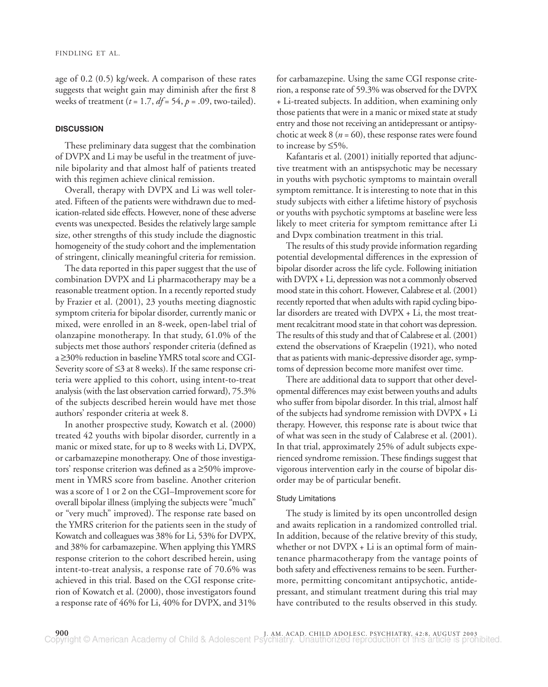age of 0.2 (0.5) kg/week. A comparison of these rates suggests that weight gain may diminish after the first 8 weeks of treatment (*t* = 1.7, *df* = 54, *p* = .09, two-tailed).

# **DISCUSSION**

These preliminary data suggest that the combination of DVPX and Li may be useful in the treatment of juvenile bipolarity and that almost half of patients treated with this regimen achieve clinical remission.

Overall, therapy with DVPX and Li was well tolerated. Fifteen of the patients were withdrawn due to medication-related side effects. However, none of these adverse events was unexpected. Besides the relatively large sample size, other strengths of this study include the diagnostic homogeneity of the study cohort and the implementation of stringent, clinically meaningful criteria for remission.

The data reported in this paper suggest that the use of combination DVPX and Li pharmacotherapy may be a reasonable treatment option. In a recently reported study by Frazier et al. (2001), 23 youths meeting diagnostic symptom criteria for bipolar disorder, currently manic or mixed, were enrolled in an 8-week, open-label trial of olanzapine monotherapy. In that study, 61.0% of the subjects met those authors' responder criteria (defined as a ≥30% reduction in baseline YMRS total score and CGI-Severity score of ≤3 at 8 weeks). If the same response criteria were applied to this cohort, using intent-to-treat analysis (with the last observation carried forward), 75.3% of the subjects described herein would have met those authors' responder criteria at week 8.

In another prospective study, Kowatch et al. (2000) treated 42 youths with bipolar disorder, currently in a manic or mixed state, for up to 8 weeks with Li, DVPX, or carbamazepine monotherapy. One of those investigators' response criterion was defined as a ≥50% improvement in YMRS score from baseline. Another criterion was a score of 1 or 2 on the CGI–Improvement score for overall bipolar illness (implying the subjects were "much" or "very much" improved). The response rate based on the YMRS criterion for the patients seen in the study of Kowatch and colleagues was 38% for Li, 53% for DVPX, and 38% for carbamazepine. When applying this YMRS response criterion to the cohort described herein, using intent-to-treat analysis, a response rate of 70.6% was achieved in this trial. Based on the CGI response criterion of Kowatch et al. (2000), those investigators found a response rate of 46% for Li, 40% for DVPX, and 31%

for carbamazepine. Using the same CGI response criterion, a response rate of 59.3% was observed for the DVPX + Li-treated subjects. In addition, when examining only those patients that were in a manic or mixed state at study entry and those not receiving an antidepressant or antipsychotic at week  $8$  ( $n = 60$ ), these response rates were found to increase by ≤5%.

Kafantaris et al. (2001) initially reported that adjunctive treatment with an antispsychotic may be necessary in youths with psychotic symptoms to maintain overall symptom remittance. It is interesting to note that in this study subjects with either a lifetime history of psychosis or youths with psychotic symptoms at baseline were less likely to meet criteria for symptom remittance after Li and Dvpx combination treatment in this trial.

The results of this study provide information regarding potential developmental differences in the expression of bipolar disorder across the life cycle. Following initiation with DVPX + Li, depression was not a commonly observed mood state in this cohort. However, Calabrese et al. (2001) recently reported that when adults with rapid cycling bipolar disorders are treated with DVPX + Li, the most treatment recalcitrant mood state in that cohort was depression. The results of this study and that of Calabrese et al. (2001) extend the observations of Kraepelin (1921), who noted that as patients with manic-depressive disorder age, symptoms of depression become more manifest over time.

There are additional data to support that other developmental differences may exist between youths and adults who suffer from bipolar disorder. In this trial, almost half of the subjects had syndrome remission with DVPX + Li therapy. However, this response rate is about twice that of what was seen in the study of Calabrese et al. (2001). In that trial, approximately 25% of adult subjects experienced syndrome remission. These findings suggest that vigorous intervention early in the course of bipolar disorder may be of particular benefit.

## Study Limitations

The study is limited by its open uncontrolled design and awaits replication in a randomized controlled trial. In addition, because of the relative brevity of this study, whether or not  $DVPX + Li$  is an optimal form of maintenance pharmacotherapy from the vantage points of both safety and effectiveness remains to be seen. Furthermore, permitting concomitant antipsychotic, antidepressant, and stimulant treatment during this trial may have contributed to the results observed in this study.